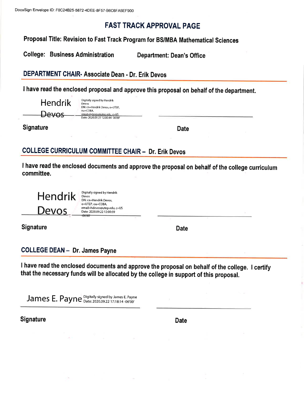## **FAST TRACK APPROVAL PAGE**

Proposal Title: Revision to Fast Track Program for BS/MBA Mathematical Sciences

**College: Business Administration Department: Dean's Office** 

### DEPARTMENT CHAIR- Associate Dean - Dr. Erik Devos

I have read the enclosed proposal and approve this proposal on behalf of the department.

| <b>Hendrik</b> | Digitally signed by Hendrik<br>Devos                                     |
|----------------|--------------------------------------------------------------------------|
| Devos          | DN: cn=Hendrik Devos, o=UTEP.<br>ou=COBA,<br>email=hdevos#utep.edu, c=US |
|                | Date: 2020.09.22 12:00:44 -06'00'                                        |

**Signature** 

**Date** 

## **COLLEGE CURRICULUM COMMITTEE CHAIR - Dr. Erik Devos**

I have read the enclosed documents and approve the proposal on behalf of the college curriculum committee.



Digitally signed by Hendrik Devos DN: cn=Hendrik Devos, o=UTEP, ou=COBA, email=hdevos@utep.edu, c=US Date: 2020.09.22 12:00:59

**Signature** 

**Date** 

**COLLEGE DEAN - Dr. James Payne** 

I have read the enclosed documents and approve the proposal on behalf of the college. I certify that the necessary funds will be allocated by the college in support of this proposal.

James E. Payne Digitally signed by James E. Payne

Signature

**Date**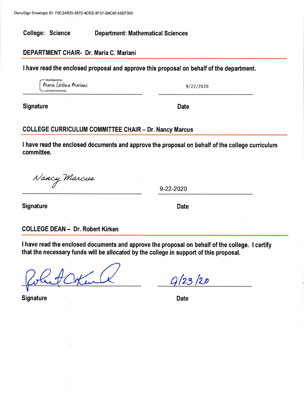**College: Science Department: Mathematical Sciences** 

#### DEPARTMENT CHAIR- Dr. Maria C. Mariani

I have read the enclosed proposal and approve this proposal on behalf of the department.

Maria (ristina Mariani 6CF36DD491054D6

9/22/2020

**Date** 

**Signature** 

### **COLLEGE CURRICULUM COMMITTEE CHAIR - Dr. Nancy Marcus**

I have read the enclosed documents and approve the proposal on behalf of the college curriculum committee.

Nancy Marcus

9-22-2020

**Signature** 

**Date** 

#### **COLLEGE DEAN - Dr. Robert Kirken**

I have read the enclosed documents and approve the proposal on behalf of the college. I certify that the necessary funds will be allocated by the college in support of this proposal.

**Signature** 

 $9/23/20$ 

**Date**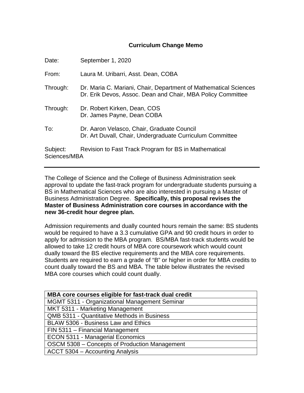#### **Curriculum Change Memo**

| Date:                    | September 1, 2020                                                                                                               |
|--------------------------|---------------------------------------------------------------------------------------------------------------------------------|
| From:                    | Laura M. Uribarri, Asst. Dean, COBA                                                                                             |
| Through:                 | Dr. Maria C. Mariani, Chair, Department of Mathematical Sciences<br>Dr. Erik Devos, Assoc. Dean and Chair, MBA Policy Committee |
| Through:                 | Dr. Robert Kirken, Dean, COS<br>Dr. James Payne, Dean COBA                                                                      |
| To:                      | Dr. Aaron Velasco, Chair, Graduate Council<br>Dr. Art Duvall, Chair, Undergraduate Curriculum Committee                         |
| Subject:<br>Sciences/MBA | Revision to Fast Track Program for BS in Mathematical                                                                           |

The College of Science and the College of Business Administration seek approval to update the fast-track program for undergraduate students pursuing a BS in Mathematical Sciences who are also interested in pursuing a Master of Business Administration Degree. **Specifically, this proposal revises the Master of Business Administration core courses in accordance with the new 36-credit hour degree plan.**

Admission requirements and dually counted hours remain the same: BS students would be required to have a 3.3 cumulative GPA and 90 credit hours in order to apply for admission to the MBA program. BS/MBA fast-track students would be allowed to take 12 credit hours of MBA core coursework which would count dually toward the BS elective requirements and the MBA core requirements. Students are required to earn a grade of "B" or higher in order for MBA credits to count dually toward the BS and MBA. The table below illustrates the revised MBA core courses which could count dually.

| MBA core courses eligible for fast-track dual credit |
|------------------------------------------------------|
| MGMT 5311 - Organizational Management Seminar        |
| MKT 5311 - Marketing Management                      |
| <b>QMB 5311 - Quantitative Methods in Business</b>   |
| BLAW 5306 - Business Law and Ethics                  |
| FIN 5311 - Financial Management                      |
| <b>ECON 5311 - Managerial Economics</b>              |
| OSCM 5308 - Concepts of Production Management        |
| ACCT 5304 – Accounting Analysis                      |